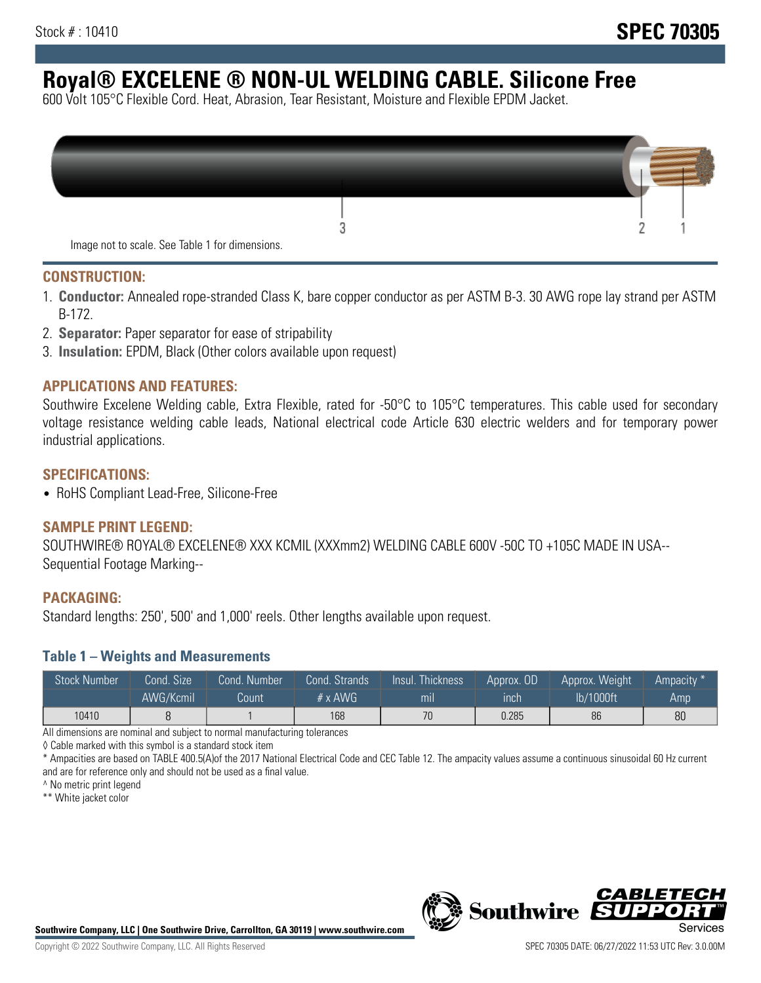# **Royal® EXCELENE ® NON-UL WELDING CABLE. Silicone Free**

600 Volt 105°C Flexible Cord. Heat, Abrasion, Tear Resistant, Moisture and Flexible EPDM Jacket.

| Image not to scale. See Table 1 for dimensions. |  |
|-------------------------------------------------|--|

#### **CONSTRUCTION:**

- 1. **Conductor:** Annealed rope-stranded Class K, bare copper conductor as per ASTM B-3. 30 AWG rope lay strand per ASTM B-172.
- 2. **Separator:** Paper separator for ease of stripability
- 3. **Insulation:** EPDM, Black (Other colors available upon request)

#### **APPLICATIONS AND FEATURES:**

Southwire Excelene Welding cable, Extra Flexible, rated for -50°C to 105°C temperatures. This cable used for secondary voltage resistance welding cable leads, National electrical code Article 630 electric welders and for temporary power industrial applications.

#### **SPECIFICATIONS:**

• RoHS Compliant Lead-Free, Silicone-Free

#### **SAMPLE PRINT LEGEND:**

SOUTHWIRE® ROYAL® EXCELENE® XXX KCMIL (XXXmm2) WELDING CABLE 600V -50C TO +105C MADE IN USA-- Sequential Footage Marking--

#### **PACKAGING:**

Standard lengths: 250', 500' and 1,000' reels. Other lengths available upon request.

#### **Table 1 – Weights and Measurements**

| <b>Stock Number</b> | Cond. Size | Cond. Number | Cond. Strands   | Insul. Thickness | Approx. OD | Approx. Weight | Ampacity * |
|---------------------|------------|--------------|-----------------|------------------|------------|----------------|------------|
|                     | AWG/Kcmil  | Count        | $# \times$ AWG. | mı               | inch       | lb/1000ft      | Amp        |
| 10410               |            |              | 168             | 70               | 0.285      | 86             | 80         |

All dimensions are nominal and subject to normal manufacturing tolerances

◊ Cable marked with this symbol is a standard stock item

\* Ampacities are based on TABLE 400.5(A)of the 2017 National Electrical Code and CEC Table 12. The ampacity values assume a continuous sinusoidal 60 Hz current and are for reference only and should not be used as a final value.

^ No metric print legend

\*\* White jacket color



*CABLE*